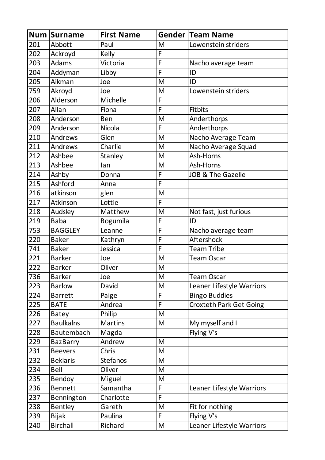|     | Num Surname      | <b>First Name</b> |                | <b>Gender Team Name</b>        |
|-----|------------------|-------------------|----------------|--------------------------------|
| 201 | Abbott           | Paul              | M              | Lowenstein striders            |
| 202 | Ackroyd          | Kelly             | F              |                                |
| 203 | Adams            | Victoria          | $\overline{F}$ | Nacho average team             |
| 204 | Addyman          | Libby             | F              | ID                             |
| 205 | Aikman           | Joe               | M              | ID                             |
| 759 | Akroyd           | Joe               | M              | Lowenstein striders            |
| 206 | Alderson         | Michelle          | F              |                                |
| 207 | Allan            | Fiona             | F              | <b>Fitbits</b>                 |
| 208 | Anderson         | <b>Ben</b>        | M              | Anderthorps                    |
| 209 | Anderson         | <b>Nicola</b>     | F              | Anderthorps                    |
| 210 | Andrews          | Glen              | M              | Nacho Average Team             |
| 211 | Andrews          | Charlie           | M              | Nacho Average Squad            |
| 212 | Ashbee           | Stanley           | M              | Ash-Horns                      |
| 213 | Ashbee           | lan               | M              | Ash-Horns                      |
| 214 | Ashby            | Donna             | F              | <b>JOB &amp; The Gazelle</b>   |
| 215 | Ashford          | Anna              | $\overline{F}$ |                                |
| 216 | atkinson         | glen              | M              |                                |
| 217 | Atkinson         | Lottie            | F              |                                |
| 218 | Audsley          | Matthew           | M              | Not fast, just furious         |
| 219 | <b>Baba</b>      | Bogumila          | F              | ID                             |
| 753 | <b>BAGGLEY</b>   | Leanne            | F              | Nacho average team             |
| 220 | <b>Baker</b>     | Kathryn           | F              | Aftershock                     |
| 741 | <b>Baker</b>     | Jessica           | F              | <b>Team Tribe</b>              |
| 221 | <b>Barker</b>    | Joe               | M              | <b>Team Oscar</b>              |
| 222 | <b>Barker</b>    | Oliver            | M              |                                |
| 736 | <b>Barker</b>    | Joe               | M              | Team Oscar                     |
| 223 | <b>Barlow</b>    | David             | M              | Leaner Lifestyle Warriors      |
| 224 | <b>Barrett</b>   | Paige             | F              | <b>Bingo Buddies</b>           |
| 225 | <b>BATE</b>      | Andrea            | F              | <b>Croxteth Park Get Going</b> |
| 226 | <b>Batey</b>     | Philip            | M              |                                |
| 227 | <b>Baulkalns</b> | <b>Martins</b>    | M              | My myself and I                |
| 228 | Bautembach       | Magda             |                | Flying V's                     |
| 229 | <b>BazBarry</b>  | Andrew            | M              |                                |
| 231 | <b>Beevers</b>   | Chris             | M              |                                |
| 232 | <b>Bekiaris</b>  | <b>Stefanos</b>   | M              |                                |
| 234 | Bell             | Oliver            | M              |                                |
| 235 | <b>Bendoy</b>    | Miguel            | M              |                                |
| 236 | <b>Bennett</b>   | Samantha          | F              | Leaner Lifestyle Warriors      |
| 237 | Bennington       | Charlotte         | F              |                                |
| 238 | Bentley          | Gareth            | M              | Fit for nothing                |
| 239 | <b>Bijak</b>     | Paulina           | F              | Flying V's                     |
| 240 | <b>Birchall</b>  | Richard           | M              | Leaner Lifestyle Warriors      |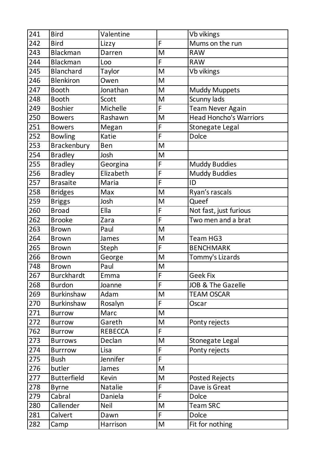| 241 | <b>Bird</b>        | Valentine      |                | Vb vikings                    |
|-----|--------------------|----------------|----------------|-------------------------------|
| 242 | <b>Bird</b>        | Lizzy          | F              | Mums on the run               |
| 243 | <b>Blackman</b>    | Darren         | M              | <b>RAW</b>                    |
| 244 | <b>Blackman</b>    | Loo            | F              | <b>RAW</b>                    |
| 245 | <b>Blanchard</b>   | Taylor         | M              | Vb vikings                    |
| 246 | <b>Blenkiron</b>   | Owen           | M              |                               |
| 247 | <b>Booth</b>       | Jonathan       | M              | <b>Muddy Muppets</b>          |
| 248 | <b>Booth</b>       | Scott          | M              | Scunny lads                   |
| 249 | <b>Boshier</b>     | Michelle       | F              | <b>Team Never Again</b>       |
| 250 | <b>Bowers</b>      | Rashawn        | M              | <b>Head Honcho's Warriors</b> |
| 251 | <b>Bowers</b>      | Megan          | F              | Stonegate Legal               |
| 252 | <b>Bowling</b>     | Katie          | F              | <b>Dolce</b>                  |
| 253 | Brackenbury        | Ben            | M              |                               |
| 254 | <b>Bradley</b>     | Josh           | M              |                               |
| 255 | <b>Bradley</b>     | Georgina       | F              | <b>Muddy Buddies</b>          |
| 256 | <b>Bradley</b>     | Elizabeth      | F              | <b>Muddy Buddies</b>          |
| 257 | <b>Brasaite</b>    | Maria          | F              | ID                            |
| 258 | <b>Bridges</b>     | Max            | M              | Ryan's rascals                |
| 259 | <b>Briggs</b>      | Josh           | M              | Queef                         |
| 260 | <b>Broad</b>       | Ella           | F              | Not fast, just furious        |
| 262 | <b>Brooke</b>      | Zara           | $\overline{F}$ | Two men and a brat            |
| 263 | <b>Brown</b>       | Paul           | M              |                               |
| 264 | <b>Brown</b>       | James          | M              | Team HG3                      |
| 265 | <b>Brown</b>       | Steph          | F              | <b>BENCHMARK</b>              |
| 266 | <b>Brown</b>       | George         | M              | Tommy's Lizards               |
| 748 | <b>Brown</b>       | Paul           | M              |                               |
| 267 | <b>Burckhardt</b>  | Emma           | $\overline{F}$ | Geek Fix                      |
| 268 | <b>Burdon</b>      | Joanne         | F              | <b>JOB &amp; The Gazelle</b>  |
| 269 | Burkinshaw         | Adam           | M              | <b>TEAM OSCAR</b>             |
| 270 | <b>Burkinshaw</b>  | Rosalyn        | F              | Oscar                         |
| 271 | <b>Burrow</b>      | Marc           | M              |                               |
| 272 | <b>Burrow</b>      | Gareth         | M              | Ponty rejects                 |
| 762 | <b>Burrow</b>      | <b>REBECCA</b> | F              |                               |
| 273 | <b>Burrows</b>     | Declan         | M              | Stonegate Legal               |
| 274 | <b>Burrrow</b>     | Lisa           | F              | Ponty rejects                 |
| 275 | <b>Bush</b>        | Jennifer       | F              |                               |
| 276 | butler             | James          | M              |                               |
| 277 | <b>Butterfield</b> | Kevin          | M              | <b>Posted Rejects</b>         |
| 278 | <b>Byrne</b>       | <b>Natalie</b> | F              | Dave is Great                 |
| 279 | Cabral             | Daniela        | F              | <b>Dolce</b>                  |
| 280 | Callender          | <b>Neil</b>    | M              | <b>Team SRC</b>               |
| 281 | Calvert            | Dawn           | F              | <b>Dolce</b>                  |
| 282 | Camp               | Harrison       | M              | Fit for nothing               |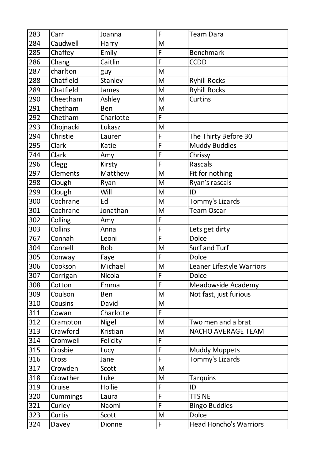| 283              | Carr            | Joanna     | F              | <b>Team Dara</b>              |
|------------------|-----------------|------------|----------------|-------------------------------|
| 284              | Caudwell        | Harry      | M              |                               |
| 285              | Chaffey         | Emily      | F              | <b>Benchmark</b>              |
| 286              | Chang           | Caitlin    | F              | <b>CCDD</b>                   |
| 287              | charlton        | guy        | M              |                               |
| 288              | Chatfield       | Stanley    | M              | <b>Ryhill Rocks</b>           |
| 289              | Chatfield       | James      | M              | <b>Ryhill Rocks</b>           |
| 290              | Cheetham        | Ashley     | M              | Curtins                       |
| 291              | Chetham         | <b>Ben</b> | M              |                               |
| 292              | Chetham         | Charlotte  | F              |                               |
| 293              | Chojnacki       | Lukasz     | M              |                               |
| 294              | Christie        | Lauren     | F              | The Thirty Before 30          |
| 295              | Clark           | Katie      | F              | <b>Muddy Buddies</b>          |
| 744              | Clark           | Amy        | F              | Chrissy                       |
| 296              | Clegg           | Kirsty     | F              | Rascals                       |
| 297              | Clements        | Matthew    | M              | Fit for nothing               |
| 298              | Clough          | Ryan       | M              | Ryan's rascals                |
| 299              | Clough          | Will       | M              | ID                            |
| 300              | Cochrane        | Ed         | M              | Tommy's Lizards               |
| 301              | Cochrane        | Jonathan   | M              | <b>Team Oscar</b>             |
| 302              | Colling         | Amy        | F              |                               |
| 303              | Collins         | Anna       | F              | Lets get dirty                |
| 767              | Connah          | Leoni      | F              | <b>Dolce</b>                  |
| 304              | Connell         | Rob        | M              | Surf and Turf                 |
| 305              | Conway          | Faye       | F              | Dolce                         |
| 306              | Cookson         | Michael    | M              | Leaner Lifestyle Warriors     |
| $\overline{307}$ | Corrigan        | Nicola     | $\overline{F}$ | <b>Dolce</b>                  |
| 308              | Cotton          | Emma       | F              | Meadowside Academy            |
| 309              | Coulson         | <b>Ben</b> | M              | Not fast, just furious        |
| 310              | Cousins         | David      | M              |                               |
| 311              | Cowan           | Charlotte  | F.             |                               |
| 312              | Crampton        | Nigel      | M              | Two men and a brat            |
| 313              | Crawford        | Kristian   | M              | <b>NACHO AVERAGE TEAM</b>     |
| 314              | Cromwell        | Felicity   | F              |                               |
| 315              | Crosbie         | Lucy       | F              | <b>Muddy Muppets</b>          |
| 316              | Cross           | Jane       | F              | Tommy's Lizards               |
| 317              | Crowden         | Scott      | M              |                               |
| 318              | Crowther        | Luke       | M              | <b>Tarquins</b>               |
| 319              | Cruise          | Hollie     | F              | ID                            |
| 320              | <b>Cummings</b> | Laura      | $\overline{F}$ | <b>TTS NE</b>                 |
| 321              | Curley          | Naomi      | F              | <b>Bingo Buddies</b>          |
| 323              | Curtis          | Scott      | M              | <b>Dolce</b>                  |
| 324              | Davey           | Dionne     | F              | <b>Head Honcho's Warriors</b> |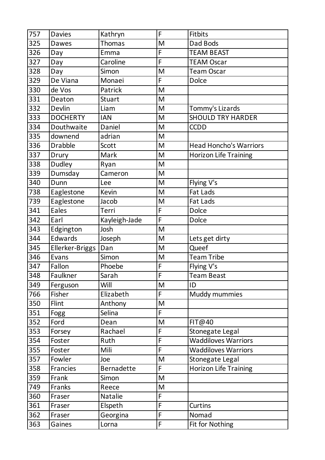| 757 | <b>Davies</b>   | Kathryn           | F              | <b>Fitbits</b>                |
|-----|-----------------|-------------------|----------------|-------------------------------|
| 325 | <b>Dawes</b>    | <b>Thomas</b>     | M              | Dad Bods                      |
| 326 | Day             | Emma              | F              | <b>TEAM BEAST</b>             |
| 327 | Day             | Caroline          | F              | <b>TEAM Oscar</b>             |
| 328 | Day             | Simon             | M              | <b>Team Oscar</b>             |
| 329 | De Viana        | Monaei            | F              | <b>Dolce</b>                  |
| 330 | de Vos          | Patrick           | M              |                               |
| 331 | Deaton          | <b>Stuart</b>     | M              |                               |
| 332 | Devlin          | Liam              | M              | Tommy's Lizards               |
| 333 | <b>DOCHERTY</b> | <b>IAN</b>        | M              | <b>SHOULD TRY HARDER</b>      |
| 334 | Douthwaite      | Daniel            | M              | <b>CCDD</b>                   |
| 335 | downend         | adrian            | M              |                               |
| 336 | <b>Drabble</b>  | Scott             | M              | <b>Head Honcho's Warriors</b> |
| 337 | Drury           | Mark              | M              | <b>Horizon Life Training</b>  |
| 338 | Dudley          | Ryan              | M              |                               |
| 339 | Dumsday         | Cameron           | M              |                               |
| 340 | Dunn            | Lee               | M              | Flying V's                    |
| 738 | Eaglestone      | Kevin             | M              | Fat Lads                      |
| 739 | Eaglestone      | Jacob             | M              | Fat Lads                      |
| 341 | Eales           | Terri             | F              | <b>Dolce</b>                  |
| 342 | Earl            | Kayleigh-Jade     | $\overline{F}$ | <b>Dolce</b>                  |
| 343 | Edgington       | Josh              | M              |                               |
| 344 | Edwards         | Joseph            | M              | Lets get dirty                |
| 345 | Ellerker-Briggs | Dan               | M              | Queef                         |
| 346 | Evans           | Simon             | M              | <b>Team Tribe</b>             |
| 347 | Fallon          | Phoebe            | F              | Flying V's                    |
| 348 | Faulkner        | Sarah             | F              | Team Beast                    |
| 349 | Ferguson        | Will              | M              | ID                            |
| 766 | Fisher          | Elizabeth         | F              | Muddy mummies                 |
| 350 | Flint           | Anthony           | M              |                               |
| 351 | Fogg            | Selina            | F              |                               |
| 352 | Ford            | Dean              | M              | FIT@40                        |
| 353 | Forsey          | Rachael           | F              | Stonegate Legal               |
| 354 | Foster          | Ruth              | F              | <b>Waddiloves Warriors</b>    |
| 355 | Foster          | Mili              | F              | <b>Waddiloves Warriors</b>    |
| 357 | Fowler          | Joe               | M              | Stonegate Legal               |
| 358 | <b>Francies</b> | <b>Bernadette</b> | F.             | <b>Horizon Life Training</b>  |
| 359 | Frank           | Simon             | M              |                               |
| 749 | Franks          | Reece             | M              |                               |
| 360 | Fraser          | Natalie           | F              |                               |
| 361 | Fraser          | Elspeth           | F              | Curtins                       |
| 362 | Fraser          | Georgina          | F              | Nomad                         |
| 363 | Gaines          | Lorna             | F              | Fit for Nothing               |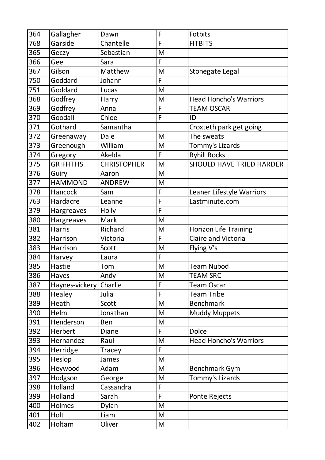| 364 | Gallagher        | Dawn               | F | Fotbits                         |
|-----|------------------|--------------------|---|---------------------------------|
| 768 | Garside          | Chantelle          | F | <b>FITBITS</b>                  |
| 365 | Geczy            | Sebastian          | M |                                 |
| 366 | Gee              | Sara               | F |                                 |
| 367 | Gilson           | Matthew            | M | Stonegate Legal                 |
| 750 | Goddard          | Johann             | F |                                 |
| 751 | Goddard          | Lucas              | M |                                 |
| 368 | Godfrey          | Harry              | M | <b>Head Honcho's Warriors</b>   |
| 369 | Godfrey          | Anna               | F | <b>TEAM OSCAR</b>               |
| 370 | Goodall          | Chloe              | F | ID                              |
| 371 | Gothard          | Samantha           |   | Croxteth park get going         |
| 372 | Greenaway        | Dale               | M | The sweats                      |
| 373 | Greenough        | William            | M | Tommy's Lizards                 |
| 374 | Gregory          | Akelda             | F | <b>Ryhill Rocks</b>             |
| 375 | <b>GRIFFITHS</b> | <b>CHRISTOPHER</b> | M | <b>SHOULD HAVE TRIED HARDER</b> |
| 376 | Guiry            | Aaron              | M |                                 |
| 377 | <b>HAMMOND</b>   | <b>ANDREW</b>      | M |                                 |
| 378 | Hancock          | Sam                | F | Leaner Lifestyle Warriors       |
| 763 | Hardacre         | Leanne             | F | Lastminute.com                  |
| 379 | Hargreaves       | Holly              | F |                                 |
| 380 | Hargreaves       | Mark               | M |                                 |
| 381 | <b>Harris</b>    | Richard            | M | <b>Horizon Life Training</b>    |
| 382 | Harrison         | Victoria           | F | Claire and Victoria             |
| 383 | Harrison         | Scott              | M | Flying V's                      |
| 384 | Harvey           | Laura              | F |                                 |
| 385 | Hastie           | Tom                | M | <b>Team Nubod</b>               |
| 386 | <b>Hayes</b>     | Andy               | M | <b>TEAM SRC</b>                 |
| 387 | Haynes-vickery   | Charlie            | F | <b>Team Oscar</b>               |
| 388 | Healey           | Julia              | F | <b>Team Tribe</b>               |
| 389 | Heath            | Scott              | M | <b>Benchmark</b>                |
| 390 | Helm             | Jonathan           | M | <b>Muddy Muppets</b>            |
| 391 | Henderson        | Ben                | M |                                 |
| 392 | Herbert          | <b>Diane</b>       | F | <b>Dolce</b>                    |
| 393 | Hernandez        | Raul               | M | <b>Head Honcho's Warriors</b>   |
| 394 | Herridge         | Tracey             | F |                                 |
| 395 | Heslop           | James              | M |                                 |
| 396 | Heywood          | Adam               | M | <b>Benchmark Gym</b>            |
| 397 | Hodgson          | George             | M | Tommy's Lizards                 |
| 398 | Holland          | Cassandra          | F |                                 |
| 399 | Holland          | Sarah              | F | Ponte Rejects                   |
| 400 | Holmes           | Dylan              | M |                                 |
| 401 | Holt             | Liam               | M |                                 |
| 402 | Holtam           | Oliver             | M |                                 |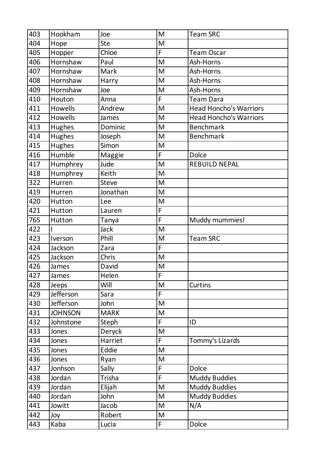| 403 | Hookham        | Joe          | M              | <b>Team SRC</b>               |
|-----|----------------|--------------|----------------|-------------------------------|
| 404 | Hope           | <b>Ste</b>   | M              |                               |
| 405 | Hopper         | Chloe        | F              | <b>Team Oscar</b>             |
| 406 | Hornshaw       | Paul         | M              | Ash-Horns                     |
| 407 | Hornshaw       | Mark         | M              | Ash-Horns                     |
| 408 | Hornshaw       | Harry        | M              | Ash-Horns                     |
| 409 | Hornshaw       | Joe          | M              | Ash-Horns                     |
| 410 | Houton         | Anna         | F              | <b>Team Dara</b>              |
| 411 | <b>Howells</b> | Andrew       | M              | <b>Head Honcho's Warriors</b> |
| 412 | Howells        | James        | M              | <b>Head Honcho's Warriors</b> |
| 413 | Hughes         | Dominic      | M              | <b>Benchmark</b>              |
| 414 | Hughes         | Joseph       | M              | <b>Benchmark</b>              |
| 415 | <b>Hughes</b>  | Simon        | M              |                               |
| 416 | Humble         | Maggie       | F              | <b>Dolce</b>                  |
| 417 | Humphrey       | Jude         | M              | <b>REBUILD NEPAL</b>          |
| 418 | Humphrey       | Keith        | M              |                               |
| 322 | Hurren         | <b>Steve</b> | M              |                               |
| 419 | Hurren         | Jonathan     | M              |                               |
| 420 | Hutton         | Lee          | M              |                               |
| 421 | Hutton         | Lauren       | F              |                               |
| 765 | Hutton         | Tanya        | F              | Muddy mummies!                |
| 422 |                | Jack         | M              |                               |
| 423 | Iverson        | Phill        | M              | <b>Team SRC</b>               |
| 424 | Jackson        | Zara         | F              |                               |
| 425 | Jackson        | Chris        | M              |                               |
| 426 | James          | David        | M              |                               |
| 427 | James          | Helen        | $\overline{F}$ |                               |
| 428 | <b>Jeeps</b>   | Will         | M              | Curtins                       |
| 429 | Jefferson      | Sara         | F              |                               |
| 430 | Jefferson      | John         | M              |                               |
| 431 | <b>JOHNSON</b> | <b>MARK</b>  | M              |                               |
| 432 | Johnstone      | Steph        | F              | ID                            |
| 433 | Jones          | Deryck       | M              |                               |
| 434 | Jones          | Harriet      | F              | Tommy's Lizards               |
| 435 | Jones          | Eddie        | M              |                               |
| 436 | Jones          | Ryan         | M              |                               |
| 437 | Jonhson        | Sally        | F              | <b>Dolce</b>                  |
| 438 | Jordan         | Trisha       | F              | <b>Muddy Buddies</b>          |
| 439 | Jordan         | Elijah       | M              | <b>Muddy Buddies</b>          |
| 440 | Jordan         | John         | M              | <b>Muddy Buddies</b>          |
| 441 | Jowitt         | Jacob        | M              | N/A                           |
| 442 | Joy            | Robert       | M              |                               |
| 443 | Kaba           | Lucia        | F              | Dolce                         |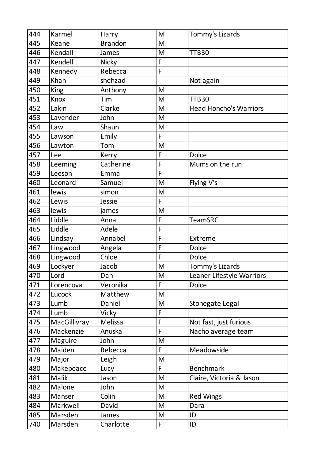| 444 | Karmel       | Harry          | M                                                                                                          | Tommy's Lizards               |
|-----|--------------|----------------|------------------------------------------------------------------------------------------------------------|-------------------------------|
| 445 | Keane        | <b>Brandon</b> | M                                                                                                          |                               |
| 446 | Kendall      | James          | M                                                                                                          | <b>TTB30</b>                  |
| 447 | Kendell      | <b>Nicky</b>   | F                                                                                                          |                               |
| 448 | Kennedy      | Rebecca        | F                                                                                                          |                               |
| 449 | Khan         | shehzad        |                                                                                                            | Not again                     |
| 450 | <b>King</b>  | Anthony        | M                                                                                                          |                               |
| 451 | Knox         | Tim            | M                                                                                                          | TTB30                         |
| 452 | Lakin        | Clarke         | M                                                                                                          | <b>Head Honcho's Warriors</b> |
| 453 | Lavender     | John           | M                                                                                                          |                               |
| 454 | Law          | Shaun          | $\mathsf{M}% _{T}=\mathsf{M}_{T}\!\left( a,b\right) ,\ \mathsf{M}_{T}=\mathsf{M}_{T}\!\left( a,b\right) ,$ |                               |
| 455 | Lawson       | Emily          | F                                                                                                          |                               |
| 456 | Lawton       | Tom            | M                                                                                                          |                               |
| 457 | Lee          | Kerry          | F                                                                                                          | <b>Dolce</b>                  |
| 458 | Leeming      | Catherine      | F                                                                                                          | Mums on the run               |
| 459 | Leeson       | Emma           | F                                                                                                          |                               |
| 460 | Leonard      | Samuel         | M                                                                                                          | Flying V's                    |
| 461 | lewis        | simon          | M                                                                                                          |                               |
| 462 | Lewis        | Jessie         | F                                                                                                          |                               |
| 463 | lewis        | james          | M                                                                                                          |                               |
| 464 | Liddle       | Anna           | F                                                                                                          | <b>TeamSRC</b>                |
| 465 | Liddle       | Adele          | F                                                                                                          |                               |
| 466 | Lindsay      | Annabel        | F                                                                                                          | Extreme                       |
| 467 | Lingwood     | Angela         | F                                                                                                          | <b>Dolce</b>                  |
| 468 | Lingwood     | Chloe          | F                                                                                                          | <b>Dolce</b>                  |
| 469 | Lockyer      | Jacob          | M                                                                                                          | Tommy's Lizards               |
| 470 | Lord         | Dan            | M                                                                                                          | Leaner Lifestyle Warriors     |
| 471 | Lorencova    | Veronika       | F                                                                                                          | <b>Dolce</b>                  |
| 472 | Lucock       | Matthew        | M                                                                                                          |                               |
| 473 | Lumb         | Daniel         | M                                                                                                          | Stonegate Legal               |
| 474 | Lumb         | <b>Vicky</b>   | F                                                                                                          |                               |
| 475 | MacGillivray | Melissa        | F                                                                                                          | Not fast, just furious        |
| 476 | Mackenzie    | Anuska         | F                                                                                                          | Nacho average team            |
| 477 | Maguire      | John           | M                                                                                                          |                               |
| 478 | Maiden       | Rebecca        | F                                                                                                          | Meadowside                    |
| 479 | Major        | Leigh          | M                                                                                                          |                               |
| 480 | Makepeace    | Lucy           | F                                                                                                          | <b>Benchmark</b>              |
| 481 | Malik        | Jason          | M                                                                                                          | Claire, Victoria & Jason      |
| 482 | Malone       | John           | M                                                                                                          |                               |
| 483 | Manser       | Colin          | M                                                                                                          | <b>Red Wings</b>              |
| 484 | Markwell     | David          | M                                                                                                          | Dara                          |
| 485 | Marsden      | James          | M                                                                                                          | ID                            |
| 740 | Marsden      | Charlotte      | F                                                                                                          | ID                            |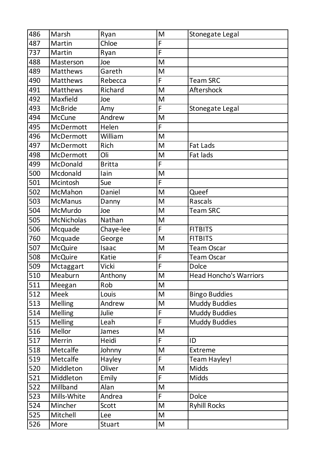| 486 | Marsh             | Ryan          | M              | Stonegate Legal               |
|-----|-------------------|---------------|----------------|-------------------------------|
| 487 | Martin            | Chloe         | F              |                               |
| 737 | Martin            | Ryan          | $\overline{F}$ |                               |
| 488 | Masterson         | Joe           | M              |                               |
| 489 | Matthews          | Gareth        | M              |                               |
| 490 | Matthews          | Rebecca       | F              | <b>Team SRC</b>               |
| 491 | Matthews          | Richard       | M              | Aftershock                    |
| 492 | Maxfield          | Joe           | M              |                               |
| 493 | <b>McBride</b>    | Amy           | F              | Stonegate Legal               |
| 494 | <b>McCune</b>     | Andrew        | M              |                               |
| 495 | McDermott         | Helen         | F              |                               |
| 496 | McDermott         | William       | M              |                               |
| 497 | McDermott         | Rich          | M              | <b>Fat Lads</b>               |
| 498 | <b>McDermott</b>  | Oli           | M              | Fat lads                      |
| 499 | McDonald          | <b>Britta</b> | F              |                               |
| 500 | Mcdonald          | lain          | M              |                               |
| 501 | Mcintosh          | Sue           | F              |                               |
| 502 | McMahon           | Daniel        | M              | Queef                         |
| 503 | <b>McManus</b>    | Danny         | M              | Rascals                       |
| 504 | McMurdo           | Joe           | M              | <b>Team SRC</b>               |
| 505 | <b>McNicholas</b> | Nathan        | M              |                               |
| 506 | Mcquade           | Chaye-lee     | F              | <b>FITBITS</b>                |
| 760 | Mcquade           | George        | M              | <b>FITBITS</b>                |
| 507 | <b>McQuire</b>    | Isaac         | M              | <b>Team Oscar</b>             |
| 508 | <b>McQuire</b>    | Katie         | F              | <b>Team Oscar</b>             |
| 509 | Mctaggart         | Vicki         | F              | Dolce                         |
| 510 | Meaburn           | Anthony       | M              | <b>Head Honcho's Warriors</b> |
| 511 | Meegan            | Rob           | M              |                               |
| 512 | <b>Meek</b>       | Louis         | M              | <b>Bingo Buddies</b>          |
| 513 | <b>Melling</b>    | Andrew        | M              | <b>Muddy Buddies</b>          |
| 514 | <b>Melling</b>    | Julie         | F              | <b>Muddy Buddies</b>          |
| 515 | <b>Melling</b>    | Leah          | F              | <b>Muddy Buddies</b>          |
| 516 | Mellor            | James         | M              |                               |
| 517 | Merrin            | Heidi         | F.             | ID                            |
| 518 | Metcalfe          | Johnny        | M              | Extreme                       |
| 519 | Metcalfe          | Hayley        | F              | Team Hayley!                  |
| 520 | Middleton         | Oliver        | M              | <b>Midds</b>                  |
| 521 | Middleton         | Emily         | F              | <b>Midds</b>                  |
| 522 | Millband          | Alan          | M              |                               |
| 523 | Mills-White       | Andrea        | F.             | <b>Dolce</b>                  |
| 524 | Mincher           | Scott         | M              | <b>Ryhill Rocks</b>           |
| 525 | Mitchell          | Lee           | M              |                               |
| 526 | More              | Stuart        | M              |                               |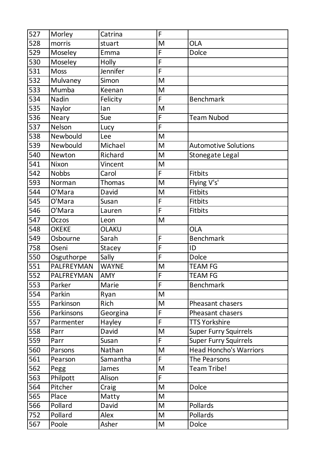| 527              | Morley       | Catrina       | F                                                                                                          |                               |
|------------------|--------------|---------------|------------------------------------------------------------------------------------------------------------|-------------------------------|
| 528              | morris       | stuart        | M                                                                                                          | <b>OLA</b>                    |
| 529              | Moseley      | Emma          | F                                                                                                          | <b>Dolce</b>                  |
| 530              | Moseley      | Holly         | F                                                                                                          |                               |
| 531              | <b>Moss</b>  | Jennifer      | F                                                                                                          |                               |
| 532              | Mulvaney     | Simon         | M                                                                                                          |                               |
| 533              | Mumba        | Keenan        | M                                                                                                          |                               |
| 534              | Nadin        | Felicity      | F                                                                                                          | <b>Benchmark</b>              |
| 535              | Naylor       | lan           | M                                                                                                          |                               |
| 536              | <b>Neary</b> | Sue           | F                                                                                                          | <b>Team Nubod</b>             |
| 537              | Nelson       | Lucy          | F                                                                                                          |                               |
| 538              | Newbould     | Lee           | M                                                                                                          |                               |
| 539              | Newbould     | Michael       | M                                                                                                          | <b>Automotive Solutions</b>   |
| 540              | Newton       | Richard       | M                                                                                                          | <b>Stonegate Legal</b>        |
| 541              | Nixon        | Vincent       | M                                                                                                          |                               |
| 542              | <b>Nobbs</b> | Carol         | F                                                                                                          | Fitbits                       |
| 593              | Norman       | <b>Thomas</b> | M                                                                                                          | Flying V's'                   |
| 544              | O'Mara       | David         | M                                                                                                          | <b>Fitbits</b>                |
| 545              | O'Mara       | Susan         | F                                                                                                          | <b>Fitbits</b>                |
| 546              | O'Mara       | Lauren        | F                                                                                                          | <b>Fitbits</b>                |
| 547              | Oczos        | Leon          | M                                                                                                          |                               |
| 548              | <b>OKEKE</b> | OLAKU         |                                                                                                            | <b>OLA</b>                    |
| 549              | Osbourne     | Sarah         | F                                                                                                          | <b>Benchmark</b>              |
| 758              | Oseni        | <b>Stacey</b> | F                                                                                                          | ID                            |
| 550              | Osguthorpe   | Sally         | F                                                                                                          | <b>Dolce</b>                  |
| 551              | PALFREYMAN   | <b>WAYNE</b>  | M                                                                                                          | <b>TEAM FG</b>                |
| $\overline{552}$ | PALFREYMAN   | <b>AMY</b>    | $\overline{F}$                                                                                             | <b>TEAM FG</b>                |
| 553              | Parker       | Marie         | F                                                                                                          | <b>Benchmark</b>              |
| 554              | Parkin       | Ryan          | M                                                                                                          |                               |
| 555              | Parkinson    | Rich          | M                                                                                                          | Pheasant chasers              |
| 556              | Parkinsons   | Georgina      | F                                                                                                          | Pheasant chasers              |
| 557              | Parmenter    | Hayley        | F                                                                                                          | <b>TTS Yorkshire</b>          |
| 558              | Parr         | David         | M                                                                                                          | <b>Super Furry Squirrels</b>  |
| 559              | Parr         | Susan         | F                                                                                                          | <b>Super Furry Squirrels</b>  |
| 560              | Parsons      | Nathan        | M                                                                                                          | <b>Head Honcho's Warriors</b> |
| 561              | Pearson      | Samantha      | F                                                                                                          | The Pearsons                  |
| 562              | Pegg         | James         | M                                                                                                          | Team Tribe!                   |
| 563              | Philpott     | Alison        | F                                                                                                          |                               |
| 564              | Pitcher      | Craig         | M                                                                                                          | <b>Dolce</b>                  |
| 565              | Place        | Matty         | M                                                                                                          |                               |
| 566              | Pollard      | David         | M                                                                                                          | Pollards                      |
| 752              | Pollard      | Alex          | M                                                                                                          | Pollards                      |
| 567              | Poole        | Asher         | $\mathsf{M}% _{T}=\mathsf{M}_{T}\!\left( a,b\right) ,\ \mathsf{M}_{T}=\mathsf{M}_{T}\!\left( a,b\right) ,$ | Dolce                         |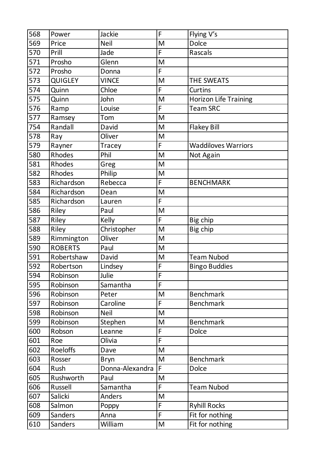| 568 | Power          | Jackie          | F              | Flying V's                   |
|-----|----------------|-----------------|----------------|------------------------------|
| 569 | Price          | <b>Neil</b>     | M              | <b>Dolce</b>                 |
| 570 | Prill          | Jade            | F              | Rascals                      |
| 571 | Prosho         | Glenn           | M              |                              |
| 572 | Prosho         | Donna           | F              |                              |
| 573 | <b>QUIGLEY</b> | <b>VINCE</b>    | M              | THE SWEATS                   |
| 574 | Quinn          | Chloe           | F              | <b>Curtins</b>               |
| 575 | Quinn          | John            | M              | <b>Horizon Life Training</b> |
| 576 | Ramp           | Louise          | F              | <b>Team SRC</b>              |
| 577 | Ramsey         | Tom             | M              |                              |
| 754 | Randall        | David           | M              | <b>Flakey Bill</b>           |
| 578 | Ray            | Oliver          | M              |                              |
| 579 | Rayner         | Tracey          | F              | <b>Waddiloves Warriors</b>   |
| 580 | Rhodes         | Phil            | M              | Not Again                    |
| 581 | <b>Rhodes</b>  | Greg            | M              |                              |
| 582 | <b>Rhodes</b>  | Philip          | M              |                              |
| 583 | Richardson     | Rebecca         | F              | <b>BENCHMARK</b>             |
| 584 | Richardson     | Dean            | M              |                              |
| 585 | Richardson     | Lauren          | F              |                              |
| 586 | Riley          | Paul            | M              |                              |
| 587 | Riley          | Kelly           | F              | Big chip                     |
| 588 | Riley          | Christopher     | M              | Big chip                     |
| 589 | Rimmington     | Oliver          | M              |                              |
| 590 | <b>ROBERTS</b> | Paul            | M              |                              |
| 591 | Robertshaw     | David           | M              | <b>Team Nubod</b>            |
| 592 | Robertson      | Lindsey         | F              | <b>Bingo Buddies</b>         |
| 594 | Robinson       | Julie           | F              |                              |
| 595 | Robinson       | Samantha        | F              |                              |
| 596 | Robinson       | Peter           | M              | <b>Benchmark</b>             |
| 597 | Robinson       | Caroline        | F              | <b>Benchmark</b>             |
| 598 | Robinson       | <b>Neil</b>     | M              |                              |
| 599 | Robinson       | Stephen         | M              | <b>Benchmark</b>             |
| 600 | Robson         | Leanne          | F              | <b>Dolce</b>                 |
| 601 | Roe            | Olivia          | $\overline{F}$ |                              |
| 602 | Roeloffs       | Dave            | M              |                              |
| 603 | Rosser         | <b>Bryn</b>     | M              | <b>Benchmark</b>             |
| 604 | Rush           | Donna-Alexandra | F              | <b>Dolce</b>                 |
| 605 | Rushworth      | Paul            | M              |                              |
| 606 | Russell        | Samantha        | F              | <b>Team Nubod</b>            |
| 607 | Salicki        | <b>Anders</b>   | M              |                              |
| 608 | Salmon         | Poppy           | F              | <b>Ryhill Rocks</b>          |
| 609 | Sanders        | Anna            | F              | Fit for nothing              |
| 610 | Sanders        | William         | M              | Fit for nothing              |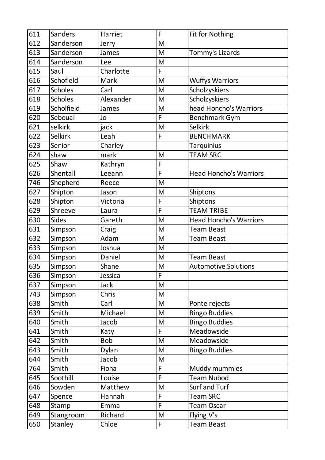| 611 | Sanders        | Harriet   | F                                                                                                          | Fit for Nothing               |
|-----|----------------|-----------|------------------------------------------------------------------------------------------------------------|-------------------------------|
| 612 | Sanderson      | Jerry     | M                                                                                                          |                               |
| 613 | Sanderson      | James     | M                                                                                                          | Tommy's Lizards               |
| 614 | Sanderson      | Lee       | M                                                                                                          |                               |
| 615 | Saul           | Charlotte | F                                                                                                          |                               |
| 616 | Schofield      | Mark      | M                                                                                                          | <b>Wuffys Warriors</b>        |
| 617 | <b>Scholes</b> | Carl      | M                                                                                                          | Scholzyskiers                 |
| 618 | <b>Scholes</b> | Alexander | M                                                                                                          | Scholzyskiers                 |
| 619 | Scholfield     | James     | M                                                                                                          | head Honcho's Warriors        |
| 620 | Sebouai        | Jo        | F                                                                                                          | <b>Benchmark Gym</b>          |
| 621 | selkirk        | jack      | $\mathsf{M}% _{T}=\mathsf{M}_{T}\!\left( a,b\right) ,\ \mathsf{M}_{T}=\mathsf{M}_{T}\!\left( a,b\right) ,$ | <b>Selkirk</b>                |
| 622 | <b>Selkirk</b> | Leah      | F                                                                                                          | <b>BENCHMARK</b>              |
| 623 | Senior         | Charley   |                                                                                                            | Tarquinius                    |
| 624 | shaw           | mark      | M                                                                                                          | <b>TEAM SRC</b>               |
| 625 | Shaw           | Kathryn   | F                                                                                                          |                               |
| 626 | Shentall       | Leeann    | F                                                                                                          | <b>Head Honcho's Warriors</b> |
| 746 | Shepherd       | Reece     | M                                                                                                          |                               |
| 627 | Shipton        | Jason     | M                                                                                                          | Shiptons                      |
| 628 | Shipton        | Victoria  | F                                                                                                          | Shiptons                      |
| 629 | Shreeve        | Laura     | F                                                                                                          | <b>TEAM TRIBE</b>             |
| 630 | <b>Sides</b>   | Gareth    | M                                                                                                          | <b>Head Honcho's Warriors</b> |
| 631 | Simpson        | Craig     | M                                                                                                          | <b>Team Beast</b>             |
| 632 | Simpson        | Adam      | M                                                                                                          | <b>Team Beast</b>             |
| 633 | Simpson        | Joshua    | M                                                                                                          |                               |
| 634 | Simpson        | Daniel    | M                                                                                                          | <b>Team Beast</b>             |
| 635 | Simpson        | Shane     | M                                                                                                          | <b>Automotive Solutions</b>   |
| 636 | Simpson        | Jessica   | $\overline{F}$                                                                                             |                               |
| 637 | Simpson        | Jack      | M                                                                                                          |                               |
| 743 | Simpson        | Chris     | M                                                                                                          |                               |
| 638 | Smith          | Carl      | M                                                                                                          | Ponte rejects                 |
| 639 | Smith          | Michael   | M                                                                                                          | <b>Bingo Buddies</b>          |
| 640 | Smith          | Jacob     | M                                                                                                          | <b>Bingo Buddies</b>          |
| 641 | Smith          | Katy      | F                                                                                                          | Meadowside                    |
| 642 | Smith          | Bob       | M                                                                                                          | Meadowside                    |
| 643 | Smith          | Dylan     | M                                                                                                          | <b>Bingo Buddies</b>          |
| 644 | Smith          | Jacob     | M                                                                                                          |                               |
| 764 | Smith          | Fiona     | F                                                                                                          | Muddy mummies                 |
| 645 | Soothill       | Louise    | F                                                                                                          | <b>Team Nubod</b>             |
| 646 | Sowden         | Matthew   | M                                                                                                          | Surf and Turf                 |
| 647 | Spence         | Hannah    | F                                                                                                          | <b>Team SRC</b>               |
| 648 | Stamp          | Emma      | F                                                                                                          | <b>Team Oscar</b>             |
| 649 | Stangroom      | Richard   | M                                                                                                          | Flying V's                    |
| 650 | Stanley        | Chloe     | F                                                                                                          | <b>Team Beast</b>             |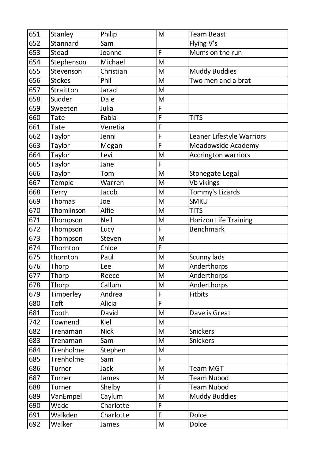| 651 | Stanley       | Philip      | M                                                                                                          | <b>Team Beast</b>            |
|-----|---------------|-------------|------------------------------------------------------------------------------------------------------------|------------------------------|
| 652 | Stannard      | Sam         |                                                                                                            | Flying V's                   |
| 653 | Stead         | Joanne      | F                                                                                                          | Mums on the run              |
| 654 | Stephenson    | Michael     | M                                                                                                          |                              |
| 655 | Stevenson     | Christian   | M                                                                                                          | <b>Muddy Buddies</b>         |
| 656 | <b>Stokes</b> | Phil        | M                                                                                                          | Two men and a brat           |
| 657 | Straitton     | Jarad       | M                                                                                                          |                              |
| 658 | Sudder        | Dale        | M                                                                                                          |                              |
| 659 | Sweeten       | Julia       | F                                                                                                          |                              |
| 660 | <b>Tate</b>   | Fabia       | F                                                                                                          | <b>TITS</b>                  |
| 661 | <b>Tate</b>   | Venetia     | F                                                                                                          |                              |
| 662 | Taylor        | Jenni       | F                                                                                                          | Leaner Lifestyle Warriors    |
| 663 | Taylor        | Megan       | F                                                                                                          | Meadowside Academy           |
| 664 | Taylor        | Levi        | M                                                                                                          | Accrington warriors          |
| 665 | Taylor        | Jane        | F                                                                                                          |                              |
| 666 | Taylor        | Tom         | M                                                                                                          | Stonegate Legal              |
| 667 | Temple        | Warren      | M                                                                                                          | Vb vikings                   |
| 668 | <b>Terry</b>  | Jacob       | M                                                                                                          | Tommy's Lizards              |
| 669 | <b>Thomas</b> | Joe         | M                                                                                                          | <b>SMKU</b>                  |
| 670 | Thomlinson    | Alfie       | M                                                                                                          | <b>TITS</b>                  |
| 671 | Thompson      | Neil        | M                                                                                                          | <b>Horizon Life Training</b> |
| 672 | Thompson      | Lucy        | F                                                                                                          | <b>Benchmark</b>             |
| 673 | Thompson      | Steven      | M                                                                                                          |                              |
| 674 | Thornton      | Chloe       | F                                                                                                          |                              |
| 675 | thornton      | Paul        | M                                                                                                          | Scunny lads                  |
| 676 | Thorp         | Lee         | M                                                                                                          | Anderthorps                  |
| 677 | Thorp         | Reece       | M                                                                                                          | Anderthorps                  |
| 678 | Thorp         | Callum      | M                                                                                                          | Anderthorps                  |
| 679 | Timperley     | Andrea      | F                                                                                                          | <b>Fitbits</b>               |
| 680 | Toft          | Alicia      | F                                                                                                          |                              |
| 681 | Tooth         | David       | M                                                                                                          | Dave is Great                |
| 742 | Townend       | Kiel        | M                                                                                                          |                              |
| 682 | Trenaman      | <b>Nick</b> | M                                                                                                          | Snickers                     |
| 683 | Trenaman      | Sam         | M                                                                                                          | Snickers                     |
| 684 | Trenholme     | Stephen     | M                                                                                                          |                              |
| 685 | Trenholme     | Sam         | F                                                                                                          |                              |
| 686 | Turner        | Jack        | M                                                                                                          | <b>Team MGT</b>              |
| 687 | Turner        | James       | M                                                                                                          | <b>Team Nubod</b>            |
| 688 | Turner        | Shelby      | F                                                                                                          | <b>Team Nubod</b>            |
| 689 | VanEmpel      | Caylum      | M                                                                                                          | <b>Muddy Buddies</b>         |
| 690 | Wade          | Charlotte   | F                                                                                                          |                              |
| 691 | Walkden       | Charlotte   | F                                                                                                          | <b>Dolce</b>                 |
| 692 | Walker        | James       | $\mathsf{M}% _{T}=\mathsf{M}_{T}\!\left( a,b\right) ,\ \mathsf{M}_{T}=\mathsf{M}_{T}\!\left( a,b\right) ,$ | Dolce                        |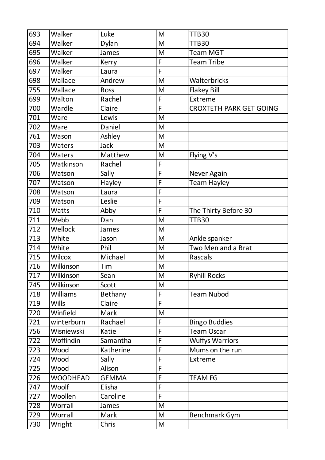| 693              | Walker          | Luke         | M              | <b>TTB30</b>                   |
|------------------|-----------------|--------------|----------------|--------------------------------|
| 694              | Walker          | Dylan        | M              | <b>TTB30</b>                   |
| 695              | Walker          | James        | M              | <b>Team MGT</b>                |
| 696              | Walker          | Kerry        | F              | <b>Team Tribe</b>              |
| 697              | Walker          | Laura        | F              |                                |
| 698              | Wallace         | Andrew       | M              | Walterbricks                   |
| 755              | Wallace         | Ross         | M              | <b>Flakey Bill</b>             |
| 699              | Walton          | Rachel       | F              | Extreme                        |
| 700              | Wardle          | Claire       | F              | <b>CROXTETH PARK GET GOING</b> |
| 701              | Ware            | Lewis        | M              |                                |
| 702              | Ware            | Daniel       | M              |                                |
| 761              | Wason           | Ashley       | M              |                                |
| 703              | Waters          | <b>Jack</b>  | M              |                                |
| 704              | Waters          | Matthew      | M              | Flying V's                     |
| 705              | Watkinson       | Rachel       | F              |                                |
| 706              | Watson          | Sally        | F              | Never Again                    |
| 707              | Watson          | Hayley       | F              | Team Hayley                    |
| 708              | Watson          | Laura        | F              |                                |
| 709              | Watson          | Leslie       | F              |                                |
| 710              | Watts           | Abby         | F              | The Thirty Before 30           |
| 711              | Webb            | Dan          | M              | TTB30                          |
| 712              | Wellock         | James        | M              |                                |
| 713              | White           | Jason        | M              | Ankle spanker                  |
| 714              | White           | Phil         | M              | Two Men and a Brat             |
| 715              | Wilcox          | Michael      | M              | Rascals                        |
| 716              | Wilkinson       | Tim          | M              |                                |
| $\overline{717}$ | Wilkinson       | Sean         | M              | <b>Ryhill Rocks</b>            |
| 745              | Wilkinson       | Scott        | M              |                                |
| 718              | Williams        | Bethany      | F              | <b>Team Nubod</b>              |
| 719              | <b>Wills</b>    | Claire       | F              |                                |
| 720              | Winfield        | Mark         | M              |                                |
| 721              | winterburn      | Rachael      | F              | <b>Bingo Buddies</b>           |
| 756              | Wisniewski      | Katie        | F              | <b>Team Oscar</b>              |
| 722              | Woffindin       | Samantha     | F              | <b>Wuffys Warriors</b>         |
| 723              | Wood            | Katherine    | F              | Mums on the run                |
| 724              | Wood            | Sally        | F              | Extreme                        |
| 725              | Wood            | Alison       | F              |                                |
| 726              | <b>WOODHEAD</b> | <b>GEMMA</b> | F              | <b>TEAM FG</b>                 |
| 747              | Woolf           | Elisha       | F              |                                |
| 727              | Woollen         | Caroline     | $\overline{F}$ |                                |
| 728              | Worrall         | James        | M              |                                |
| 729              | Worrall         | Mark         | M              | <b>Benchmark Gym</b>           |
| 730              | Wright          | Chris        | M              |                                |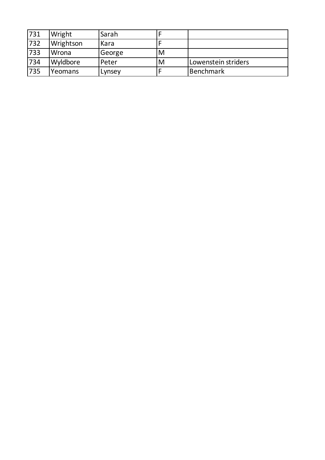| 731 | Wright    | Sarah  |   |                     |
|-----|-----------|--------|---|---------------------|
| 732 | Wrightson | Kara   |   |                     |
| 733 | Wrona     | George | M |                     |
| 734 | Wyldbore  | Peter  | M | Lowenstein striders |
| 735 | Yeomans   | Lynsey |   | <b>Benchmark</b>    |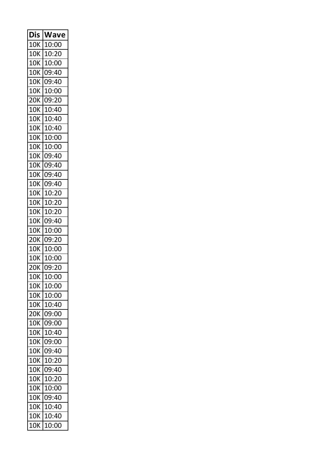| Dis        | Wave  |
|------------|-------|
| <b>10K</b> | 10:00 |
| 10K        | 10:20 |
| 10K        | 10:00 |
| 10K        | 09:40 |
| 10K        | 09:40 |
| 10K        | 10:00 |
| <b>20K</b> | 09:20 |
| 10K        | 10:40 |
| 10K        | 10:40 |
| 10K        | 10:40 |
| 10K        | 10:00 |
| 10K        | 10:00 |
| <b>10K</b> | 09:40 |
| 10K        | 09:40 |
| 10K        | 09:40 |
| 10K        | 09:40 |
| 10K        | 10:20 |
| 10K        | 10:20 |
| <b>10K</b> | 10:20 |
| 10K        | 09:40 |
| 10K        | 10:00 |
| 20K        | 09:20 |
| 10K        | 10:00 |
| <b>10K</b> | 10:00 |
| 20K        | 09:20 |
| 10K        | 10:00 |
| 10K        | 10:00 |
| 10K        | 10:00 |
| 10K        | 10:40 |
| <b>20K</b> | 09:00 |
| 10K        | 09:00 |
| 10K        | 10:40 |
| <b>10K</b> | 09:00 |
| 10K        | 09:40 |
| <b>10K</b> | 10:20 |
| <b>10K</b> | 09:40 |
| <b>10K</b> | 10:20 |
| 10K        | 10:00 |
| <b>10K</b> | 09:40 |
| 10K        | 10:40 |
| 10K        | 10:40 |
| <b>10K</b> | 10:00 |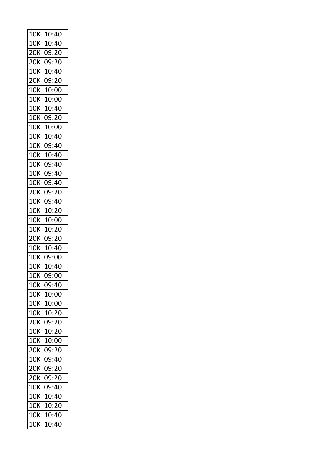| 10K        | 10:40 |
|------------|-------|
| 10K        | 10:40 |
| 20K        | 09:20 |
| 20K        | 09:20 |
| 10K        | 10:40 |
| 20K        | 09:20 |
| 10K        | 10:00 |
| 10K        | 10:00 |
| 10K        | 10:40 |
| 10K        | 09:20 |
| 10K        | 10:00 |
| 10K        | 10:40 |
| 10K        | 09:40 |
| 10K        | 10:40 |
| 10K        | 09:40 |
| 10K        | 09:40 |
| 10K        | 09:40 |
| <b>20K</b> | 09:20 |
| <b>10K</b> | 09:40 |
| 10K        | 10:20 |
| 10K        | 10:00 |
| 10K        | 10:20 |
| 20K        | 09:20 |
| <b>10K</b> | 10:40 |
| 10K        | 09:00 |
| 10K        | 10:40 |
| 10K        | 09:00 |
| 10K        | 09:40 |
| <b>10K</b> | 10:00 |
| <b>10K</b> | 10:00 |
| <b>10K</b> | 10:20 |
| 20K        | 09:20 |
| 10K        | 10:20 |
| 10K        | 10:00 |
| 20K        | 09:20 |
| <b>10K</b> | 09:40 |
| 20K        | 09:20 |
| 20K        | 09:20 |
| 10K        | 09:40 |
| <b>10K</b> | 10:40 |
| <b>10K</b> | 10:20 |
| <b>10K</b> | 10:40 |
| <b>10K</b> | 10:40 |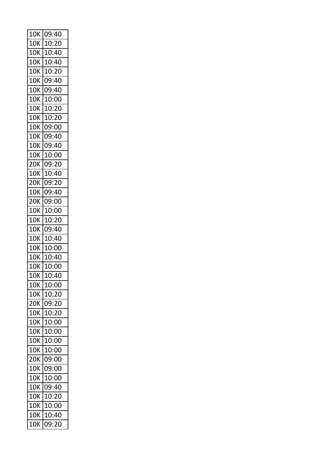| 10K        | 09:40 |
|------------|-------|
| 10K        | 10:20 |
| 10K        | 10:40 |
| 10K        | 10:40 |
| 10K        | 10:20 |
| 10K        | 09:40 |
| <b>10K</b> | 09:40 |
| 10K        | 10:00 |
| 10K        | 10:20 |
| 10K        | 10:20 |
| 10K        | 09:00 |
| 10K        | 09:40 |
| <b>10K</b> | 09:40 |
| 10K        | 10:00 |
| 20K        | 09:20 |
| 10K        | 10:40 |
| 20K        | 09:20 |
| <b>10K</b> | 09:40 |
| 20K        | 09:00 |
| 10K        | 10:00 |
| 10K        | 10:20 |
| 10K        | 09:40 |
| 10K        | 10:40 |
| 10K        | 10:00 |
| 10K        | 10:40 |
| 10K        | 10:00 |
| 10K        | 10:40 |
| 10K        | 10:00 |
| 10K        | 10:20 |
| <b>20K</b> | 09:20 |
| 10K        | 10:20 |
| 10K        | 10:00 |
| 10K        | 10:00 |
| <b>10K</b> | 10:00 |
| <b>10K</b> | 10:00 |
| <b>20K</b> | 09:00 |
| <b>10K</b> | 09:00 |
| 10K        | 10:00 |
| <b>10K</b> | 09:40 |
| 10K        | 10:20 |
| 10K        | 10:00 |
| <b>10K</b> | 10:40 |
| <b>10K</b> | 09:20 |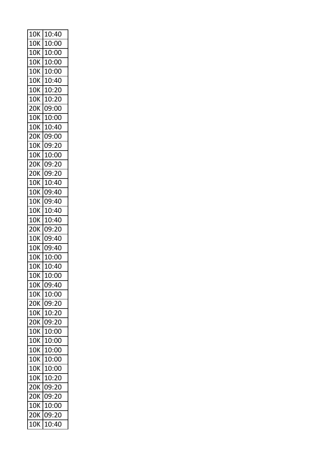| 10K        | 10:40 |
|------------|-------|
| 10K        | 10:00 |
| 10K        | 10:00 |
| 10K        | 10:00 |
| 10K        | 10:00 |
| 10K        | 10:40 |
| 10K        | 10:20 |
| 10K        | 10:20 |
| 20K        | 09:00 |
| 10K        | 10:00 |
| 10K        | 10:40 |
| 20K        | 09:00 |
| <b>10K</b> | 09:20 |
| 10K        | 10:00 |
| 20K        | 09:20 |
| 20K        | 09:20 |
| 10K        | 10:40 |
| 10K        | 09:40 |
| 10K        | 09:40 |
| 10K        | 10:40 |
| 10K        | 10:40 |
| 20K        | 09:20 |
| 10K        | 09:40 |
| 10K        | 09:40 |
| 10K        | 10:00 |
| 10K        | 10:40 |
| 10K        | 10:00 |
| 10K        | 09:40 |
| 10K        | 10:00 |
| <b>20K</b> | 09:20 |
| <b>10K</b> | 10:20 |
| <b>20K</b> | 09:20 |
| <b>10K</b> | 10:00 |
| <b>10K</b> | 10:00 |
| <b>10K</b> | 10:00 |
| <b>10K</b> | 10:00 |
| <b>10K</b> | 10:00 |
| 10K        | 10:20 |
| 20K        | 09:20 |
| <b>20K</b> | 09:20 |
| <b>10K</b> | 10:00 |
| <b>20K</b> | 09:20 |
| <b>10K</b> | 10:40 |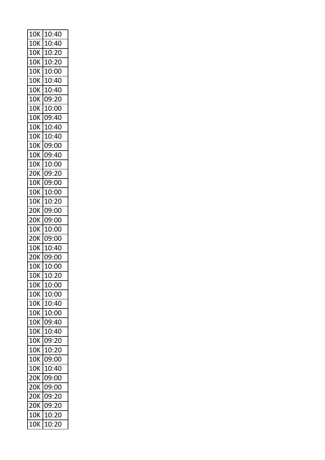| 10K        | 10:40 |
|------------|-------|
| 10K        | 10:40 |
| 10K        | 10:20 |
| 10K        | 10:20 |
| 10K        | 10:00 |
| 10K        | 10:40 |
| 10K        | 10:40 |
| 10K        | 09:20 |
| 10K        | 10:00 |
| 10K        | 09:40 |
| 10K        | 10:40 |
| <b>10K</b> | 10:40 |
| 10K        | 09:00 |
| 10K        | 09:40 |
| 10K        | 10:00 |
| 20K        | 09:20 |
| 10K        | 09:00 |
| 10K        | 10:00 |
| 10K        | 10:20 |
| 20K        | 09:00 |
| 20K        | 09:00 |
| 10K        | 10:00 |
| <b>20K</b> | 09:00 |
| <b>10K</b> | 10:40 |
| 20K        | 09:00 |
| 10K        | 10:00 |
| 10K        | 10:20 |
| 10K        | 10:00 |
| <b>10K</b> | 10:00 |
| <b>10K</b> | 10:40 |
| 10K        | 10:00 |
| <b>10K</b> | 09:40 |
| 10K        | 10:40 |
| <b>10K</b> | 09:20 |
| <b>10K</b> | 10:20 |
| <b>10K</b> | 09:00 |
| <b>10K</b> | 10:40 |
| <b>20K</b> | 09:00 |
| 20K        | 09:00 |
| 20K        | 09:20 |
| <b>20K</b> | 09:20 |
| <b>10K</b> | 10:20 |
| 10K        | 10:20 |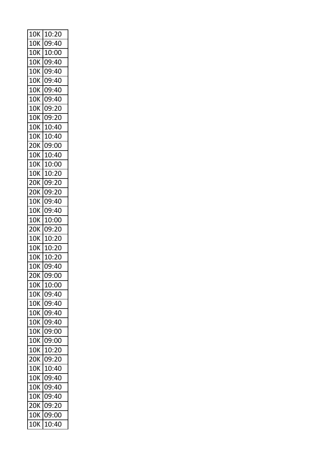| 10K        | 10:20 |
|------------|-------|
| 10K        | 09:40 |
| 10K        | 10:00 |
| 10K        | 09:40 |
| 10K        | 09:40 |
| 10K        | 09:40 |
| 10K        | 09:40 |
| 10K        | 09:40 |
| 10K        | 09:20 |
| 10K        | 09:20 |
| 10K        | 10:40 |
| <b>10K</b> | 10:40 |
| 20K        | 09:00 |
| 10K        | 10:40 |
| 10K        | 10:00 |
| 10K        | 10:20 |
| <b>20K</b> | 09:20 |
| 20K        | 09:20 |
| 10K        | 09:40 |
| 10K        | 09:40 |
| 10K        | 10:00 |
| 20K        | 09:20 |
| 10K        | 10:20 |
| 10K        | 10:20 |
| 10K        | 10:20 |
| 10K        | 09:40 |
| 20K        | 09:00 |
| 10K        | 10:00 |
| 10K        | 09:40 |
| <b>10K</b> | 09:40 |
| 10K        | 09:40 |
| 10K        | 09:40 |
| 10K        | 09:00 |
| 10K        | 09:00 |
| 10K        | 10:20 |
| 20K        | 09:20 |
| 10K        | 10:40 |
| 10K        | 09:40 |
| 10K        | 09:40 |
| 10K        | 09:40 |
| 20K        | 09:20 |
| 10K        | 09:00 |
| 10K        | 10:40 |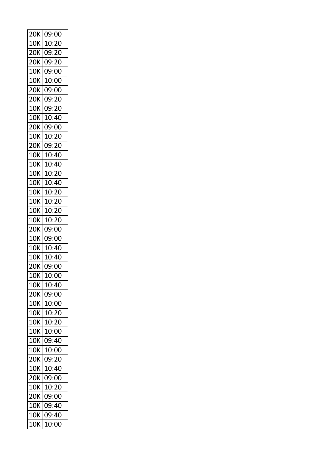| 20K               | 09:00 |
|-------------------|-------|
| 10K               | 10:20 |
| 20K               | 09:20 |
| 20K               | 09:20 |
| <b>10K</b>        | 09:00 |
| 10K               | 10:00 |
| 20K               | 09:00 |
| 20K               | 09:20 |
| 10K               | 09:20 |
| 10K               | 10:40 |
| <b>20K</b>        | 09:00 |
| <b>10K</b>        | 10:20 |
| 20K               | 09:20 |
| 10K               | 10:40 |
| 10K               | 10:40 |
| 10K               | 10:20 |
| 10K               | 10:40 |
| 10K               | 10:20 |
| 10K               | 10:20 |
| 10K               | 10:20 |
| 10K               | 10:20 |
| 20K               | 09:00 |
| <b>10K</b>        | 09:00 |
| 10K               | 10:40 |
| 10K               | 10:40 |
| 20K               | 09:00 |
| 10K               | 10:00 |
| 10K               | 10:40 |
| <b>20K</b>        | 09:00 |
| <b>10K</b>        | 10:00 |
| 10K               | 10:20 |
| <b>10K</b>        | 10:20 |
| 10K               | 10:00 |
| <b>10K</b>        | 09:40 |
| <b>10K</b>        | 10:00 |
| 20K               | 09:20 |
| 10K               | 10:40 |
| <b>20K</b>        | 09:00 |
| <b>10K</b>        | 10:20 |
| $\overline{2}$ OK | 09:00 |
| <b>10K</b>        | 09:40 |
| <b>10K</b>        | 09:40 |
| 10K               | 10:00 |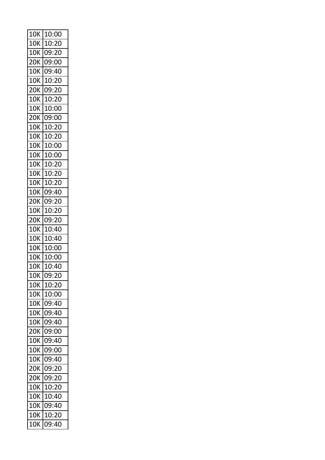| 10K | 10:00 |
|-----|-------|
| 10K | 10:20 |
| 10K | 09:20 |
| 20K | 09:00 |
| 10K | 09:40 |
| 10K | 10:20 |
| 20K | 09:20 |
| 10K | 10:20 |
| 10K | 10:00 |
| 20K | 09:00 |
| 10K | 10:20 |
| 10K | 10:20 |
| 10K | 10:00 |
| 10K | 10:00 |
| 10K | 10:20 |
| 10K | 10:20 |
| 10K | 10:20 |
| 10K | 09:40 |
| 20K | 09:20 |
| 10K | 10:20 |
| 20K | 09:20 |
| 10K | 10:40 |
| 10K | 10:40 |
| 10K | 10:00 |
| 10K | 10:00 |
| 10K | 10:40 |
| 10K | 09:20 |
| 10K | 10:20 |
| 10K | 10:00 |
| 10K | 09:40 |
| 10K | 09:40 |
| 10K | 09:40 |
| 20K | 09:00 |
| 10K | 09:40 |
| 10K | 09:00 |
| 10K | 09:40 |
| 20K | 09:20 |
| 20K | 09:20 |
| 10K | 10:20 |
| 10K | 10:40 |
| 10K | 09:40 |
| 10K | 10:20 |
| 10K | 09:40 |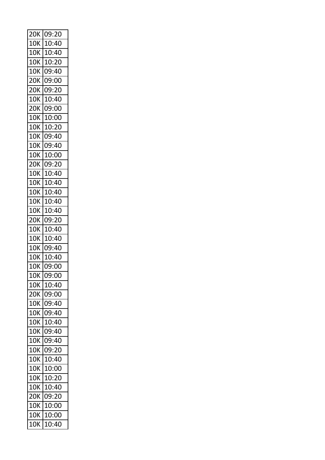| 20K        | 09:20 |
|------------|-------|
| 10K        | 10:40 |
| 10K        | 10:40 |
| 10K        | 10:20 |
| 10K        | 09:40 |
| 20K        | 09:00 |
| 20K        | 09:20 |
| 10K        | 10:40 |
| 20K        | 09:00 |
| 10K        | 10:00 |
| 10K        | 10:20 |
| 10K        | 09:40 |
| 10K        | 09:40 |
| 10K        | 10:00 |
| 20K        | 09:20 |
| 10K        | 10:40 |
| 10K        | 10:40 |
| 10K        | 10:40 |
| <b>10K</b> | 10:40 |
| 10K        | 10:40 |
| 20K        | 09:20 |
| 10K        | 10:40 |
| 10K        | 10:40 |
| 10K        | 09:40 |
| 10K        | 10:40 |
| 10K        | 09:00 |
| 10K        | 09:00 |
| 10K        | 10:40 |
| 20K        | 09:00 |
| <b>10K</b> | 09:40 |
| 10K        | 09:40 |
| <b>10K</b> | 10:40 |
| 10K        | 09:40 |
| 10K        | 09:40 |
| 10K        | 09:20 |
| <b>10K</b> | 10:40 |
| <b>10K</b> | 10:00 |
| 10K        | 10:20 |
| <b>10K</b> | 10:40 |
| 20K        | 09:20 |
| 10K        | 10:00 |
| <b>10K</b> | 10:00 |
| <b>10K</b> | 10:40 |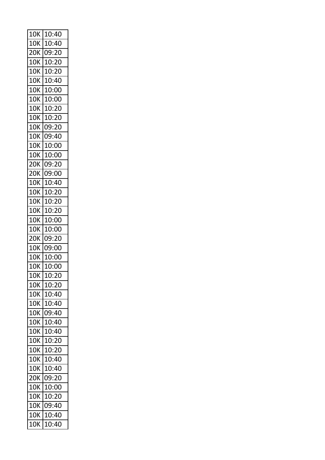| 10K        | 10:40 |
|------------|-------|
| 10K        | 10:40 |
| 20K        | 09:20 |
| 10K        | 10:20 |
| 10K        | 10:20 |
| 10K        | 10:40 |
| 10K        | 10:00 |
| 10K        | 10:00 |
| 10K        | 10:20 |
| 10K        | 10:20 |
| 10K        | 09:20 |
| 10K        | 09:40 |
| 10K        | 10:00 |
| 10K        | 10:00 |
| 20K        | 09:20 |
| 20K        | 09:00 |
| 10K        | 10:40 |
| 10K        | 10:20 |
| 10K        | 10:20 |
| 10K        | 10:20 |
| 10K        | 10:00 |
| 10K        | 10:00 |
| 20K        | 09:20 |
| 10K        | 09:00 |
| 10K        | 10:00 |
| 10K        | 10:00 |
| 10K        | 10:20 |
| 10K        | 10:20 |
| 10K        | 10:40 |
| <b>10K</b> | 10:40 |
| 10K        | 09:40 |
| 10K        | 10:40 |
| 10K        | 10:40 |
| <b>10K</b> | 10:20 |
| 10K        | 10:20 |
| <b>10K</b> | 10:40 |
| 10K        | 10:40 |
| 20K        | 09:20 |
| 10K        | 10:00 |
| 10K        | 10:20 |
| 10K        | 09:40 |
| <b>10K</b> | 10:40 |
| 10K        | 10:40 |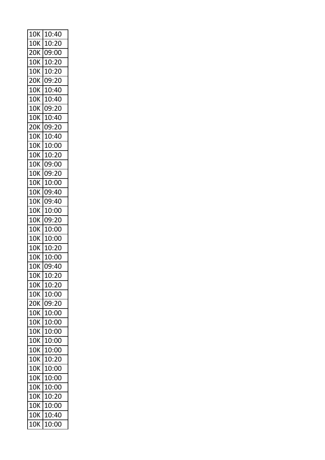| 10K        | 10:40 |
|------------|-------|
| 10K        | 10:20 |
| 20K        | 09:00 |
| 10K        | 10:20 |
| 10K        | 10:20 |
| 20K        | 09:20 |
| 10K        | 10:40 |
| 10K        | 10:40 |
| 10K        | 09:20 |
| 10K        | 10:40 |
| <b>20K</b> | 09:20 |
| <b>10K</b> | 10:40 |
| 10K        | 10:00 |
| 10K        | 10:20 |
| 10K        | 09:00 |
| 10K        | 09:20 |
| <b>10K</b> | 10:00 |
| 10K        | 09:40 |
| 10K        | 09:40 |
| 10K        | 10:00 |
| 10K        | 09:20 |
| 10K        | 10:00 |
| 10K        | 10:00 |
| <b>10K</b> | 10:20 |
| 10K        | 10:00 |
| 10K        | 09:40 |
| 10K        | 10:20 |
| 10K        | 10:20 |
| <b>10K</b> | 10:00 |
| 20K        | 09:20 |
| 10K        | 10:00 |
| <b>10K</b> | 10:00 |
| 10K        | 10:00 |
| <b>10K</b> | 10:00 |
| <b>10K</b> | 10:00 |
| <b>10K</b> | 10:20 |
| 10K        | 10:00 |
| <b>10K</b> | 10:00 |
| 10K        | 10:00 |
| 10K        | 10:20 |
| <b>10K</b> | 10:00 |
| <b>10K</b> | 10:40 |
| 10K        | 10:00 |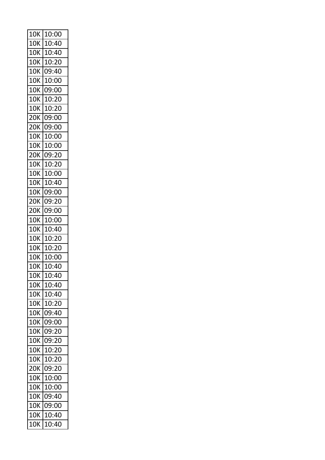| 10K        | 10:00 |
|------------|-------|
| 10K        | 10:40 |
| 10K        | 10:40 |
| 10K        | 10:20 |
| 10K        | 09:40 |
| 10K        | 10:00 |
| 10K        | 09:00 |
| 10K        | 10:20 |
| 10K        | 10:20 |
| 20K        | 09:00 |
| 20K        | 09:00 |
| 10K        | 10:00 |
| <b>10K</b> | 10:00 |
| 20K        | 09:20 |
| 10K        | 10:20 |
| 10K        | 10:00 |
| 10K        | 10:40 |
| 10K        | 09:00 |
| 20K        | 09:20 |
| 20K        | 09:00 |
| 10K        | 10:00 |
| 10K        | 10:40 |
| 10K        | 10:20 |
| 10K        | 10:20 |
| 10K        | 10:00 |
| 10K        | 10:40 |
| 10K        | 10:40 |
| 10K        | 10:40 |
| <b>10K</b> | 10:40 |
| <b>10K</b> | 10:20 |
| 10K        | 09:40 |
| <b>10K</b> | 09:00 |
| 10K        | 09:20 |
| <b>10K</b> | 09:20 |
| <b>10K</b> | 10:20 |
| <b>10K</b> | 10:20 |
| <b>20K</b> | 09:20 |
| 10K        | 10:00 |
| 10K        | 10:00 |
| <b>10K</b> | 09:40 |
| <b>10K</b> | 09:00 |
| <b>10K</b> | 10:40 |
| <b>10K</b> | 10:40 |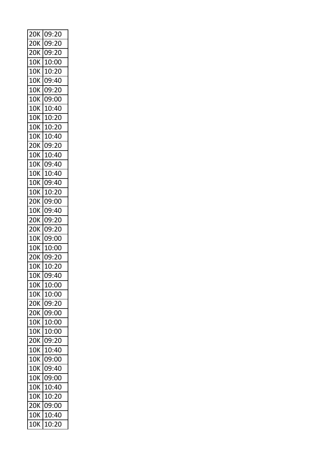| 20K        | 09:20 |
|------------|-------|
| 20K        | 09:20 |
| 20K        | 09:20 |
| 10K        | 10:00 |
| 10K        | 10:20 |
| <b>10K</b> | 09:40 |
| 10K        | 09:20 |
| 10K        | 09:00 |
| 10K        | 10:40 |
| 10K        | 10:20 |
| 10K        | 10:20 |
| <b>10K</b> | 10:40 |
| 20K        | 09:20 |
| 10K        | 10:40 |
| 10K        | 09:40 |
| 10K        | 10:40 |
| <b>10K</b> | 09:40 |
| 10K        | 10:20 |
| 20K        | 09:00 |
| 10K        | 09:40 |
| 20K        | 09:20 |
| 20K        | 09:20 |
| <b>10K</b> | 09:00 |
| <b>10K</b> | 10:00 |
| 20K        | 09:20 |
| 10K        | 10:20 |
| 10K        | 09:40 |
| 10K        | 10:00 |
| <b>10K</b> | 10:00 |
| 20K        | 09:20 |
| 20K        | 09:00 |
| <b>10K</b> | 10:00 |
| 10K        | 10:00 |
| <b>20K</b> | 09:20 |
| <b>10K</b> | 10:40 |
| <b>10K</b> | 09:00 |
| 10K        | 09:40 |
| <b>10K</b> | 09:00 |
| 10K        | 10:40 |
| 10K        | 10:20 |
| <b>20K</b> | 09:00 |
| <b>10K</b> | 10:40 |
| 10K        | 10:20 |